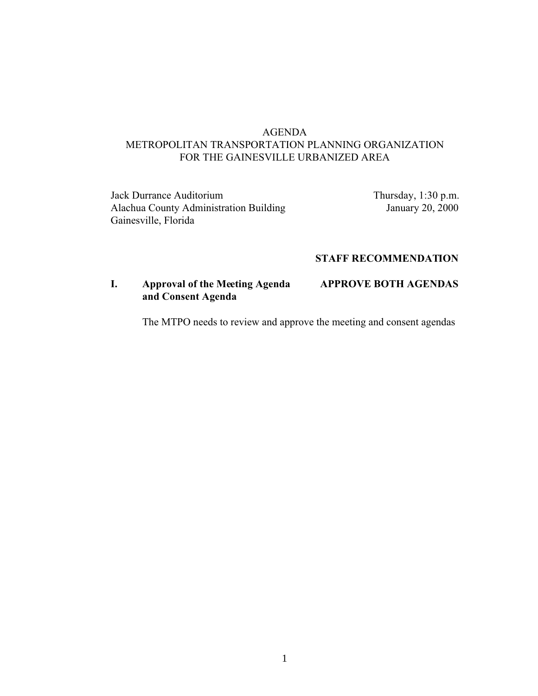# AGENDA METROPOLITAN TRANSPORTATION PLANNING ORGANIZATION FOR THE GAINESVILLE URBANIZED AREA

Jack Durrance Auditorium Thursday, 1:30 p.m. Alachua County Administration Building January 20, 2000 Gainesville, Florida

## **STAFF RECOMMENDATION**

# **I. Approval of the Meeting Agenda APPROVE BOTH AGENDAS and Consent Agenda**

The MTPO needs to review and approve the meeting and consent agendas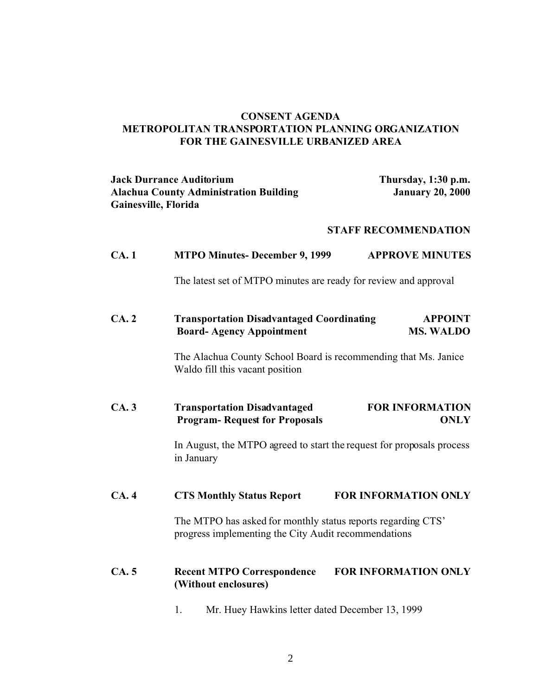## **CONSENT AGENDA METROPOLITAN TRANSPORTATION PLANNING ORGANIZATION FOR THE GAINESVILLE URBANIZED AREA**

# **Jack Durrance Auditorium Thursday, 1:30 p.m. Alachua County Administration Building Gainesville, Florida**

### **STAFF RECOMMENDATION**

| CA.1 | <b>MTPO Minutes- December 9, 1999</b>                                                                                | <b>APPROVE MINUTES</b>                |
|------|----------------------------------------------------------------------------------------------------------------------|---------------------------------------|
|      | The latest set of MTPO minutes are ready for review and approval                                                     |                                       |
| CA.2 | <b>Transportation Disadvantaged Coordinating</b><br><b>Board-Agency Appointment</b>                                  | <b>APPOINT</b><br><b>MS. WALDO</b>    |
|      | The Alachua County School Board is recommending that Ms. Janice<br>Waldo fill this vacant position                   |                                       |
| CA.3 | <b>Transportation Disadvantaged</b><br><b>Program-Request for Proposals</b>                                          | <b>FOR INFORMATION</b><br><b>ONLY</b> |
|      | In August, the MTPO agreed to start the request for proposals process<br>in January                                  |                                       |
| CA.4 | <b>CTS Monthly Status Report</b>                                                                                     | <b>FOR INFORMATION ONLY</b>           |
|      | The MTPO has asked for monthly status reports regarding CTS'<br>progress implementing the City Audit recommendations |                                       |
| CA.5 | <b>Recent MTPO Correspondence</b><br>(Without enclosures)                                                            | FOR INFORMATION ONLY                  |
|      | Mr. Huey Hawkins letter dated December 13, 1999<br>1.                                                                |                                       |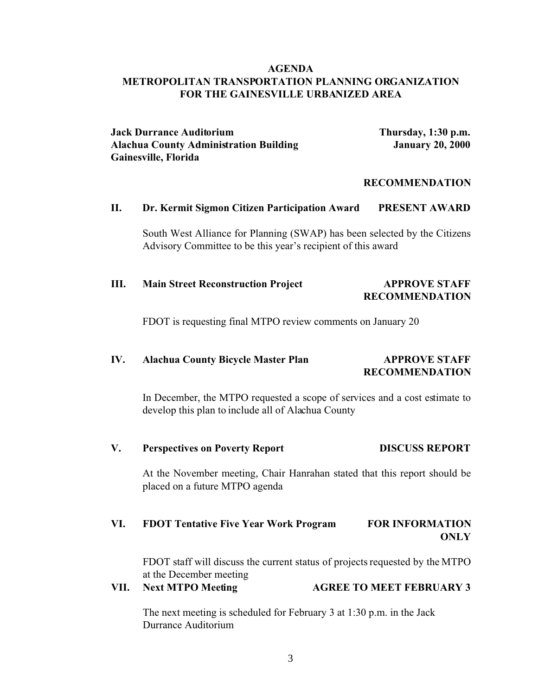### **AGENDA METROPOLITAN TRANSPORTATION PLANNING ORGANIZATION FOR THE GAINESVILLE URBANIZED AREA**

**Jack Durrance Auditorium Thursday, 1:30 p.m. Alachua County Administration Building January 20, 2000 Gainesville, Florida** 

#### **RECOMMENDATION**

### **II. Dr. Kermit Sigmon Citizen Participation Award PRESENT AWARD**

South West Alliance for Planning (SWAP) has been selected by the Citizens Advisory Committee to be this year's recipient of this award

## **III. Main Street Reconstruction Project APPROVE STAFF RECOMMENDATION**

FDOT is requesting final MTPO review comments on January 20

### **IV. Alachua County Bicycle Master Plan APPROVE STAFF RECOMMENDATION**

In December, the MTPO requested a scope of services and a cost estimate to develop this plan to include all of Alachua County

**V. Perspectives on Poverty Report DISCUSS REPORT**

At the November meeting, Chair Hanrahan stated that this report should be placed on a future MTPO agenda

# **VI. FDOT Tentative Five Year Work Program FOR INFORMATION ONLY**

FDOT staff will discuss the current status of projects requested by the MTPO at the December meeting

**VII. Next MTPO Meeting AGREE TO MEET FEBRUARY 3**

The next meeting is scheduled for February 3 at 1:30 p.m. in the Jack Durrance Auditorium